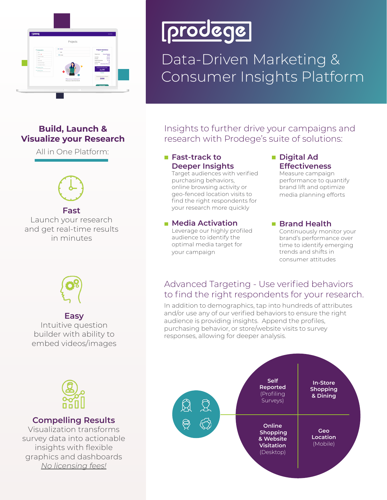

# prodege

### Data-Driven Marketing & Consumer Insights Platform

#### **Build, Launch & Visualize your Research**

All in One Platform:



**Fast**

Launch your research and get real-time results in minutes



#### **Easy**

Intuitive question builder with ability to embed videos/images

### Insights to further drive your campaigns and research with Prodege's suite of solutions:

#### **Fast-track to Deeper Insights**

Target audiences with verified purchasing behaviors, online browsing activity or geo-fenced location visits to find the right respondents for your research more quickly

#### **Media Activation**

Leverage our highly profiled audience to identify the optimal media target for your campaign

#### **Digital Ad Effectiveness**

Measure campaign performance to quantify brand lift and optimize media planning efforts

#### ■ Brand Health

Continuously monitor your brand's performance over time to identify emerging trends and shifts in consumer attitudes

#### Advanced Targeting - Use verified behaviors to find the right respondents for your research.

In addition to demographics, tap into hundreds of attributes and/or use any of our verified behaviors to ensure the right audience is providing insights. Append the profiles, purchasing behavior, or store/website visits to survey responses, allowing for deeper analysis.





#### **Compelling Results**

Visualization transforms survey data into actionable insights with flexible graphics and dashboards *No licensing fees!*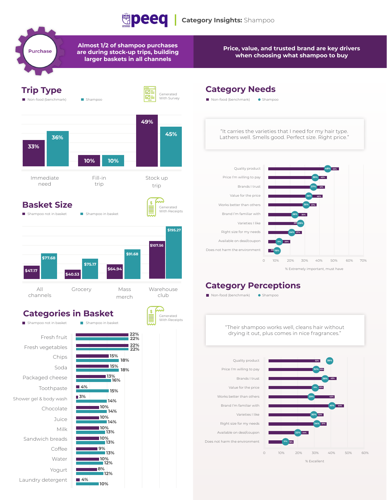

**Almost 1/2 of shampoo purchases are during stock-up trips, building larger baskets in all channels**

**Purchase** 

**Price, value, and trusted brand are key drivers when choosing what shampoo to buy**



**Juice** Milk

Coffee Water Yogurt

**8%**

**10%**

**4%**

**14% 10% 13% 10% 13% 9% 13% 10% 12% 12%**

Sandwich breads

Laundry detergent

#### **Category Needs**



#### **Category Perceptions**

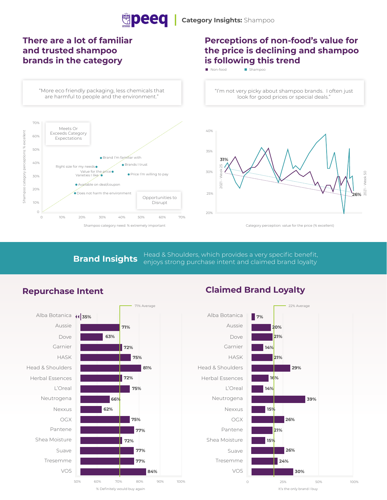

#### **There are a lot of familiar and trusted shampoo brands in the category**

"More eco friendly packaging, less chemicals that are harmful to people and the environment."



#### **Perceptions of non-food's value for the price is declining and shampoo is following this trend**

Non-food Shampoo

"I'm not very picky about shampoo brands. I often just look for good prices or special deals."



Category perception: value for the price (% excellent)

**Brand Insights** Head & Shoulders, which provides a very specific benefit, enjoys strong purchase intent and claimed brand loyalty





#### **Repurchase Intent Claimed Brand Loyalty**